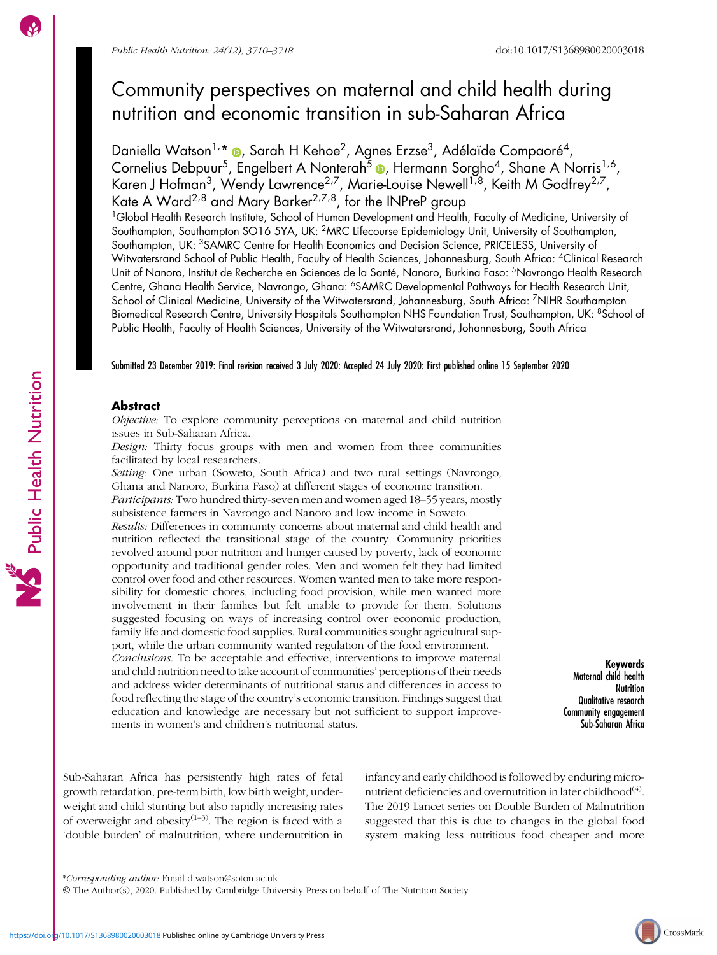Public Health Nutrition

# Community perspectives on maternal and child health during nutrition and economic transition in sub-Saharan Africa

Daniella Watson<sup>1,</sup>\* ®, Sarah H Kehoe<sup>2</sup>, Agnes Erzse<sup>3</sup>, Adélaïde Compaoré<sup>4</sup>, Cornelius Debpuur<sup>5</sup>, Engelbert A Nonterah<sup>5</sup> , Hermann Sorgho<sup>4</sup>, Shane A Norris<sup>1,6</sup>, Karen J Hofman $^3$ , Wendy Lawrence $^{2.7}$ , Marie-Louise Newell $^{1.8}$ , Keith M Godfrey $^{2.7}$ , Kate A Ward<sup>2,8</sup> and Mary Barker<sup>2,7,8</sup>, for the INPreP group

<sup>1</sup>Global Health Research Institute, School of Human Development and Health, Faculty of Medicine, University of Southampton, Southampton SO16 5YA, UK: 2MRC Lifecourse Epidemiology Unit, University of Southampton, Southampton, UK: <sup>3</sup>SAMRC Centre for Health Economics and Decision Science, PRICELESS, University of Witwatersrand School of Public Health, Faculty of Health Sciences, Johannesburg, South Africa: 4Clinical Research Unit of Nanoro, Institut de Recherche en Sciences de la Santé, Nanoro, Burkina Faso: 5Navrongo Health Research Centre, Ghana Health Service, Navrongo, Ghana: 6SAMRC Developmental Pathways for Health Research Unit, School of Clinical Medicine, University of the Witwatersrand, Johannesburg, South Africa: <sup>7</sup>NIHR Southampton Biomedical Research Centre, University Hospitals Southampton NHS Foundation Trust, Southampton, UK: <sup>8</sup>School of Public Health, Faculty of Health Sciences, University of the Witwatersrand, Johannesburg, South Africa

Submitted 23 December 2019: Final revision received 3 July 2020: Accepted 24 July 2020: First published online 15 September 2020

## **Abstract**

Objective: To explore community perceptions on maternal and child nutrition issues in Sub-Saharan Africa.

Design: Thirty focus groups with men and women from three communities facilitated by local researchers.

Setting: One urban (Soweto, South Africa) and two rural settings (Navrongo, Ghana and Nanoro, Burkina Faso) at different stages of economic transition.

Participants: Two hundred thirty-seven men and women aged 18–55 years, mostly subsistence farmers in Navrongo and Nanoro and low income in Soweto.

Results: Differences in community concerns about maternal and child health and nutrition reflected the transitional stage of the country. Community priorities revolved around poor nutrition and hunger caused by poverty, lack of economic opportunity and traditional gender roles. Men and women felt they had limited control over food and other resources. Women wanted men to take more responsibility for domestic chores, including food provision, while men wanted more involvement in their families but felt unable to provide for them. Solutions suggested focusing on ways of increasing control over economic production, family life and domestic food supplies. Rural communities sought agricultural support, while the urban community wanted regulation of the food environment. Conclusions: To be acceptable and effective, interventions to improve maternal and child nutrition need to take account of communities' perceptions of their needs and address wider determinants of nutritional status and differences in access to food reflecting the stage of the country's economic transition. Findings suggest that education and knowledge are necessary but not sufficient to support improvements in women's and children's nutritional status.

Keywords Maternal child health Nutrition Qualitative research Community engagement Sub-Saharan Africa

Sub-Saharan Africa has persistently high rates of fetal growth retardation, pre-term birth, low birth weight, underweight and child stunting but also rapidly increasing rates of overweight and obesity<sup>([1](#page-7-0)–[3\)](#page-7-0)</sup>. The region is faced with a 'double burden' of malnutrition, where undernutrition in

infancy and early childhood is followed by enduring micronutrient deficiencies and overnutrition in later childhood<sup> $(4)$  $(4)$ </sup>. The 2019 Lancet series on Double Burden of Malnutrition suggested that this is due to changes in the global food system making less nutritious food cheaper and more

<sup>\*</sup>Corresponding author: Email [d.watson@soton.ac.uk](mailto:d.watson@soton.ac.uk)

<sup>©</sup> The Author(s), 2020. Published by Cambridge University Press on behalf of The Nutrition Society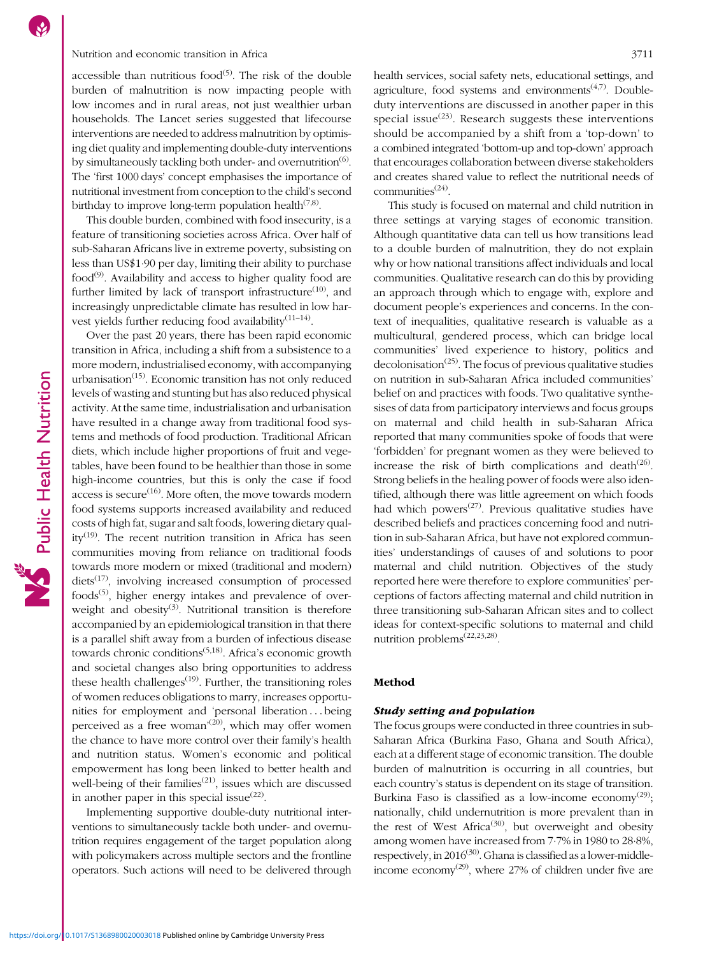#### Nutrition and economic transition in Africa 3711

accessible than nutritious food $(5)$ . The risk of the double burden of malnutrition is now impacting people with low incomes and in rural areas, not just wealthier urban households. The Lancet series suggested that lifecourse interventions are needed to address malnutrition by optimising diet quality and implementing double-duty interventions by simultaneously tackling both under- and overnutrition<sup> $(6)$  $(6)$ </sup>. The 'first 1000 days' concept emphasises the importance of nutritional investment from conception to the child's second birthday to improve long-term population health<sup> $(7,8)$  $(7,8)$ </sup>.

This double burden, combined with food insecurity, is a feature of transitioning societies across Africa. Over half of sub-Saharan Africans live in extreme poverty, subsisting on less than US\$1·90 per day, limiting their ability to purchase  $food<sup>(9)</sup>$  $food<sup>(9)</sup>$  $food<sup>(9)</sup>$ . Availability and access to higher quality food are further limited by lack of transport infrastructure $(10)$  $(10)$ , and increasingly unpredictable climate has resulted in low harvest yields further reducing food availability<sup> $(11-14)$  $(11-14)$  $(11-14)$ </sup>.

Over the past 20 years, there has been rapid economic transition in Africa, including a shift from a subsistence to a more modern, industrialised economy, with accompanying urbanisation<sup> $(15)$  $(15)$  $(15)$ </sup>. Economic transition has not only reduced levels of wasting and stunting but has also reduced physical activity. At the same time, industrialisation and urbanisation have resulted in a change away from traditional food systems and methods of food production. Traditional African diets, which include higher proportions of fruit and vegetables, have been found to be healthier than those in some high-income countries, but this is only the case if food access is secure<sup> $(16)$  $(16)$  $(16)$ </sup>. More often, the move towards modern food systems supports increased availability and reduced costs of high fat, sugar and salt foods, lowering dietary qual- $itv^{(19)}$  $itv^{(19)}$  $itv^{(19)}$ . The recent nutrition transition in Africa has seen communities moving from reliance on traditional foods towards more modern or mixed (traditional and modern) diets<sup>([17](#page-8-0))</sup>, involving increased consumption of processed foods<sup> $(5)$ </sup>, higher energy intakes and prevalence of over-weight and obesity<sup>([3\)](#page-7-0)</sup>. Nutritional transition is therefore accompanied by an epidemiological transition in that there is a parallel shift away from a burden of infectious disease towards chronic conditions<sup> $(5,18)$  $(5,18)$  $(5,18)$  $(5,18)$ </sup>. Africa's economic growth and societal changes also bring opportunities to address these health challenges<sup> $(19)$ </sup>. Further, the transitioning roles of women reduces obligations to marry, increases opportunities for employment and 'personal liberation ::: being perceived as a free woman<sup>'[\(20\)](#page-8-0)</sup>, which may offer women the chance to have more control over their family's health and nutrition status. Women's economic and political empowerment has long been linked to better health and well-being of their families<sup>([21\)](#page-8-0)</sup>, issues which are discussed in another paper in this special issue $^{(22)}$  $^{(22)}$  $^{(22)}$ .

Implementing supportive double-duty nutritional interventions to simultaneously tackle both under- and overnutrition requires engagement of the target population along with policymakers across multiple sectors and the frontline operators. Such actions will need to be delivered through health services, social safety nets, educational settings, and agriculture, food systems and environments<sup> $(4,7)$  $(4,7)$  $(4,7)$  $(4,7)$ </sup>. Doubleduty interventions are discussed in another paper in this special issue<sup>([23](#page-8-0))</sup>. Research suggests these interventions should be accompanied by a shift from a 'top-down' to a combined integrated 'bottom-up and top-down' approach that encourages collaboration between diverse stakeholders and creates shared value to reflect the nutritional needs of communities $^{(24)}$  $^{(24)}$  $^{(24)}$ .

This study is focused on maternal and child nutrition in three settings at varying stages of economic transition. Although quantitative data can tell us how transitions lead to a double burden of malnutrition, they do not explain why or how national transitions affect individuals and local communities. Qualitative research can do this by providing an approach through which to engage with, explore and document people's experiences and concerns. In the context of inequalities, qualitative research is valuable as a multicultural, gendered process, which can bridge local communities' lived experience to history, politics and  $decolonisation<sup>(25)</sup>$  $decolonisation<sup>(25)</sup>$  $decolonisation<sup>(25)</sup>$ . The focus of previous qualitative studies on nutrition in sub-Saharan Africa included communities' belief on and practices with foods. Two qualitative synthesises of data from participatory interviews and focus groups on maternal and child health in sub-Saharan Africa reported that many communities spoke of foods that were 'forbidden' for pregnant women as they were believed to increase the risk of birth complications and death $(26)$  $(26)$ . Strong beliefs in the healing power of foods were also identified, although there was little agreement on which foods had which powers<sup> $(27)$  $(27)$ </sup>. Previous qualitative studies have described beliefs and practices concerning food and nutrition in sub-Saharan Africa, but have not explored communities' understandings of causes of and solutions to poor maternal and child nutrition. Objectives of the study reported here were therefore to explore communities' perceptions of factors affecting maternal and child nutrition in three transitioning sub-Saharan African sites and to collect ideas for context-specific solutions to maternal and child nutrition problems<sup> $(22,23,28)$  $(22,23,28)$  $(22,23,28)$  $(22,23,28)$ </sup>.

#### Method

#### Study setting and population

The focus groups were conducted in three countries in sub-Saharan Africa (Burkina Faso, Ghana and South Africa), each at a different stage of economic transition. The double burden of malnutrition is occurring in all countries, but each country's status is dependent on its stage of transition. Burkina Faso is classified as a low-income economy<sup>[\(29](#page-8-0))</sup>; nationally, child undernutrition is more prevalent than in the rest of West Africa<sup>[\(30\)](#page-8-0)</sup>, but overweight and obesity among women have increased from 7·7% in 1980 to 28·8%, respectively, in  $2016^{(30)}$  $2016^{(30)}$  $2016^{(30)}$ . Ghana is classified as a lower-middle-income economy<sup>([29](#page-8-0))</sup>, where 27% of children under five are

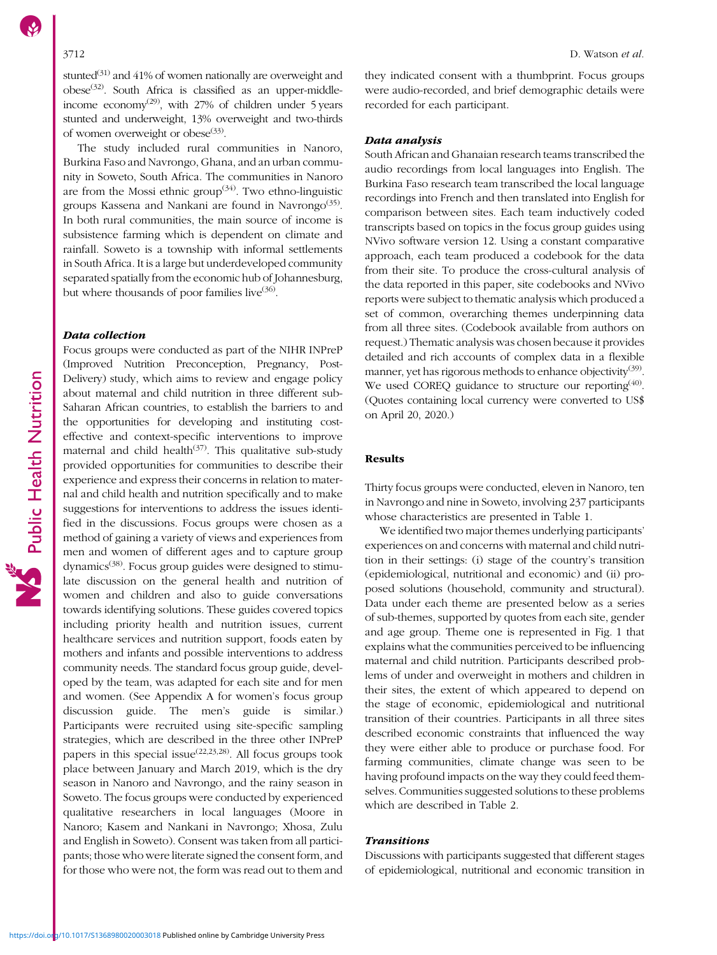stunted $(31)$  $(31)$  $(31)$  and 41% of women nationally are overweight and  $obese^{(32)}$  $obese^{(32)}$  $obese^{(32)}$ . South Africa is classified as an upper-middle-income economy<sup>[\(29\)](#page-8-0)</sup>, with 27% of children under 5 years stunted and underweight, 13% overweight and two-thirds of women overweight or obese $(33)$ .

The study included rural communities in Nanoro, Burkina Faso and Navrongo, Ghana, and an urban community in Soweto, South Africa. The communities in Nanoro are from the Mossi ethnic group<sup> $(34)$  $(34)$ </sup>. Two ethno-linguistic groups Kassena and Nankani are found in Navrongo<sup> $(35)$  $(35)$ </sup>. In both rural communities, the main source of income is subsistence farming which is dependent on climate and rainfall. Soweto is a township with informal settlements in South Africa. It is a large but underdeveloped community separated spatially from the economic hub of Johannesburg, but where thousands of poor families live<sup>[\(36](#page-8-0))</sup>.

#### Data collection

Focus groups were conducted as part of the NIHR INPreP (Improved Nutrition Preconception, Pregnancy, Post-Delivery) study, which aims to review and engage policy about maternal and child nutrition in three different sub-Saharan African countries, to establish the barriers to and the opportunities for developing and instituting costeffective and context-specific interventions to improve maternal and child health<sup>([37](#page-8-0))</sup>. This qualitative sub-study provided opportunities for communities to describe their experience and express their concerns in relation to maternal and child health and nutrition specifically and to make suggestions for interventions to address the issues identified in the discussions. Focus groups were chosen as a method of gaining a variety of views and experiences from men and women of different ages and to capture group  $dynamics<sup>(38)</sup>$  $dynamics<sup>(38)</sup>$  $dynamics<sup>(38)</sup>$ . Focus group guides were designed to stimulate discussion on the general health and nutrition of women and children and also to guide conversations towards identifying solutions. These guides covered topics including priority health and nutrition issues, current healthcare services and nutrition support, foods eaten by mothers and infants and possible interventions to address community needs. The standard focus group guide, developed by the team, was adapted for each site and for men and women. (See Appendix A for women's focus group discussion guide. The men's guide is similar.) Participants were recruited using site-specific sampling strategies, which are described in the three other INPreP papers in this special issue<sup> $(22,23,28)$  $(22,23,28)$  $(22,23,28)$ </sup>. All focus groups took place between January and March 2019, which is the dry season in Nanoro and Navrongo, and the rainy season in Soweto. The focus groups were conducted by experienced qualitative researchers in local languages (Moore in Nanoro; Kasem and Nankani in Navrongo; Xhosa, Zulu and English in Soweto). Consent was taken from all participants; those who were literate signed the consent form, and for those who were not, the form was read out to them and they indicated consent with a thumbprint. Focus groups were audio-recorded, and brief demographic details were recorded for each participant.

### Data analysis

South African and Ghanaian research teams transcribed the audio recordings from local languages into English. The Burkina Faso research team transcribed the local language recordings into French and then translated into English for comparison between sites. Each team inductively coded transcripts based on topics in the focus group guides using NVivo software version 12. Using a constant comparative approach, each team produced a codebook for the data from their site. To produce the cross-cultural analysis of the data reported in this paper, site codebooks and NVivo reports were subject to thematic analysis which produced a set of common, overarching themes underpinning data from all three sites. (Codebook available from authors on request.) Thematic analysis was chosen because it provides detailed and rich accounts of complex data in a flexible manner, yet has rigorous methods to enhance objectivity<sup>[\(39\)](#page-8-0)</sup>. We used COREQ guidance to structure our reporting<sup>[\(40\)](#page-8-0)</sup>. (Quotes containing local currency were converted to US\$ on April 20, 2020.)

#### Results

Thirty focus groups were conducted, eleven in Nanoro, ten in Navrongo and nine in Soweto, involving 237 participants whose characteristics are presented in Table [1](#page-3-0).

We identified two major themes underlying participants' experiences on and concerns with maternal and child nutrition in their settings: (i) stage of the country's transition (epidemiological, nutritional and economic) and (ii) proposed solutions (household, community and structural). Data under each theme are presented below as a series of sub-themes, supported by quotes from each site, gender and age group. Theme one is represented in Fig. [1](#page-3-0) that explains what the communities perceived to be influencing maternal and child nutrition. Participants described problems of under and overweight in mothers and children in their sites, the extent of which appeared to depend on the stage of economic, epidemiological and nutritional transition of their countries. Participants in all three sites described economic constraints that influenced the way they were either able to produce or purchase food. For farming communities, climate change was seen to be having profound impacts on the way they could feed themselves. Communities suggested solutions to these problems which are described in Table [2.](#page-3-0)

### Transitions

Discussions with participants suggested that different stages of epidemiological, nutritional and economic transition in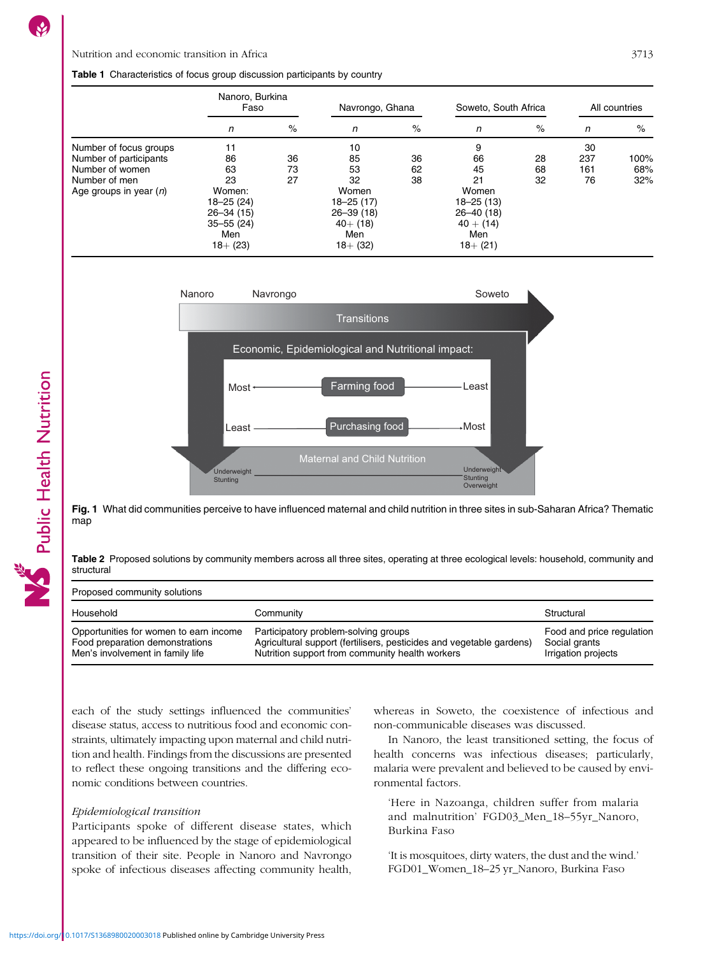#### <span id="page-3-0"></span>Table 1 Characteristics of focus group discussion participants by country

|                          | Nanoro, Burkina<br>Faso |    | Navrongo, Ghana |    | Soweto, South Africa |    | All countries |      |
|--------------------------|-------------------------|----|-----------------|----|----------------------|----|---------------|------|
|                          | n                       | %  | n               | %  | n                    | %  | n             | %    |
| Number of focus groups   | 11                      |    | 10              |    | 9                    |    | 30            |      |
| Number of participants   | 86                      | 36 | 85              | 36 | 66                   | 28 | 237           | 100% |
| Number of women          | 63                      | 73 | 53              | 62 | 45                   | 68 | 161           | 68%  |
| Number of men            | 23                      | 27 | 32              | 38 | 21                   | 32 | 76            | 32%  |
| Age groups in year $(n)$ | Women:                  |    | Women           |    | Women                |    |               |      |
|                          | $18 - 25(24)$           |    | 18-25 (17)      |    | $18 - 25(13)$        |    |               |      |
|                          | $26 - 34(15)$           |    | $26 - 39(18)$   |    | $26 - 40(18)$        |    |               |      |
|                          | $35 - 55(24)$           |    | $40+ (18)$      |    | $40 + (14)$          |    |               |      |
|                          | Men                     |    | Men             |    | Men                  |    |               |      |
|                          | $18 + (23)$             |    | $18 + (32)$     |    | $18 + (21)$          |    |               |      |



Fig. 1 What did communities perceive to have influenced maternal and child nutrition in three sites in sub-Saharan Africa? Thematic map

Table 2 Proposed solutions by community members across all three sites, operating at three ecological levels: household, community and structural

Proposed community solutions

| Household                              | Community                                                            | Structural                |
|----------------------------------------|----------------------------------------------------------------------|---------------------------|
| Opportunities for women to earn income | Participatory problem-solving groups                                 | Food and price regulation |
| Food preparation demonstrations        | Agricultural support (fertilisers, pesticides and vegetable gardens) | Social grants             |
| Men's involvement in family life       | Nutrition support from community health workers                      | Irrigation projects       |

each of the study settings influenced the communities' disease status, access to nutritious food and economic constraints, ultimately impacting upon maternal and child nutrition and health. Findings from the discussions are presented to reflect these ongoing transitions and the differing economic conditions between countries.

#### Epidemiological transition

Participants spoke of different disease states, which appeared to be influenced by the stage of epidemiological transition of their site. People in Nanoro and Navrongo spoke of infectious diseases affecting community health, whereas in Soweto, the coexistence of infectious and non-communicable diseases was discussed.

In Nanoro, the least transitioned setting, the focus of health concerns was infectious diseases; particularly, malaria were prevalent and believed to be caused by environmental factors.

'Here in Nazoanga, children suffer from malaria and malnutrition' FGD03\_Men\_18–55yr\_Nanoro, Burkina Faso

'It is mosquitoes, dirty waters, the dust and the wind.' FGD01\_Women\_18–25 yr\_Nanoro, Burkina Faso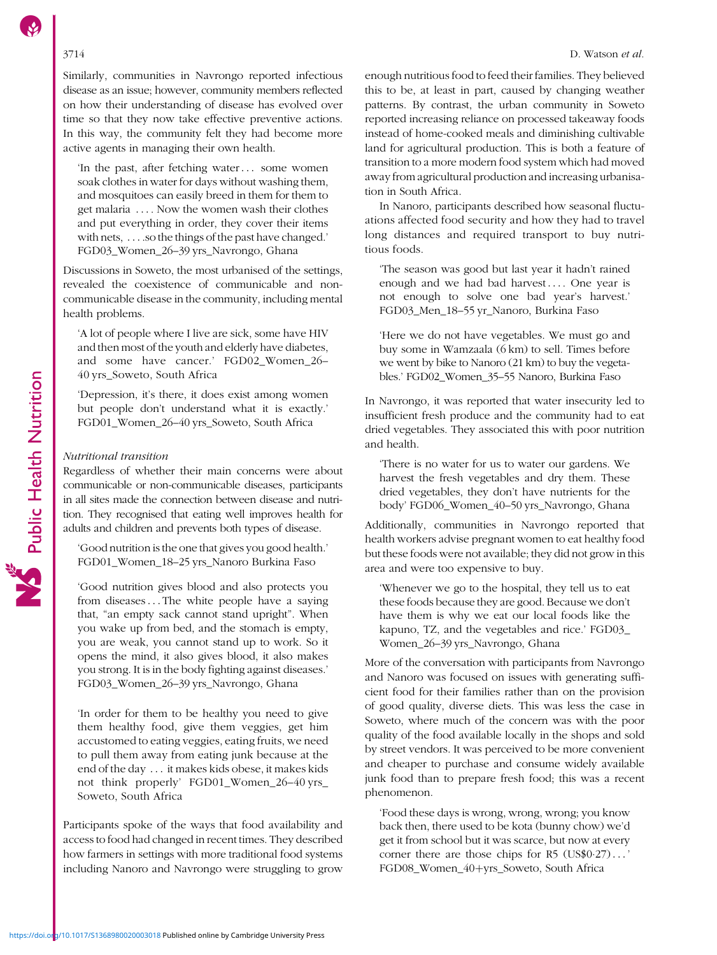Similarly, communities in Navrongo reported infectious disease as an issue; however, community members reflected on how their understanding of disease has evolved over time so that they now take effective preventive actions. In this way, the community felt they had become more active agents in managing their own health.

'In the past, after fetching water::: some women soak clothes in water for days without washing them, and mosquitoes can easily breed in them for them to get malaria .... Now the women wash their clothes and put everything in order, they cover their items with nets, ... .so the things of the past have changed.' FGD03\_Women\_26–39 yrs\_Navrongo, Ghana

Discussions in Soweto, the most urbanised of the settings, revealed the coexistence of communicable and noncommunicable disease in the community, including mental health problems.

'A lot of people where I live are sick, some have HIV and then most of the youth and elderly have diabetes, and some have cancer.' FGD02\_Women\_26– 40 yrs\_Soweto, South Africa

'Depression, it's there, it does exist among women but people don't understand what it is exactly.' FGD01\_Women\_26–40 yrs\_Soweto, South Africa

#### Nutritional transition

Regardless of whether their main concerns were about communicable or non-communicable diseases, participants in all sites made the connection between disease and nutrition. They recognised that eating well improves health for adults and children and prevents both types of disease.

'Good nutrition is the one that gives you good health.' FGD01\_Women\_18–25 yrs\_Nanoro Burkina Faso

'Good nutrition gives blood and also protects you from diseases::: The white people have a saying that, "an empty sack cannot stand upright". When you wake up from bed, and the stomach is empty, you are weak, you cannot stand up to work. So it opens the mind, it also gives blood, it also makes you strong. It is in the body fighting against diseases.' FGD03\_Women\_26–39 yrs\_Navrongo, Ghana

'In order for them to be healthy you need to give them healthy food, give them veggies, get him accustomed to eating veggies, eating fruits, we need to pull them away from eating junk because at the end of the day ::: it makes kids obese, it makes kids not think properly' FGD01\_Women\_26–40 yrs\_ Soweto, South Africa

Participants spoke of the ways that food availability and access to food had changed in recent times. They described how farmers in settings with more traditional food systems including Nanoro and Navrongo were struggling to grow enough nutritious food to feed their families. They believed this to be, at least in part, caused by changing weather patterns. By contrast, the urban community in Soweto reported increasing reliance on processed takeaway foods instead of home-cooked meals and diminishing cultivable land for agricultural production. This is both a feature of transition to a more modern food system which had moved away from agricultural production and increasing urbanisation in South Africa.

In Nanoro, participants described how seasonal fluctuations affected food security and how they had to travel long distances and required transport to buy nutritious foods.

'The season was good but last year it hadn't rained enough and we had bad harvest.... One year is not enough to solve one bad year's harvest.' FGD03\_Men\_18–55 yr\_Nanoro, Burkina Faso

'Here we do not have vegetables. We must go and buy some in Wamzaala (6 km) to sell. Times before we went by bike to Nanoro (21 km) to buy the vegetables.' FGD02\_Women\_35–55 Nanoro, Burkina Faso

In Navrongo, it was reported that water insecurity led to insufficient fresh produce and the community had to eat dried vegetables. They associated this with poor nutrition and health.

'There is no water for us to water our gardens. We harvest the fresh vegetables and dry them. These dried vegetables, they don't have nutrients for the body' FGD06\_Women\_40–50 yrs\_Navrongo, Ghana

Additionally, communities in Navrongo reported that health workers advise pregnant women to eat healthy food but these foods were not available; they did not grow in this area and were too expensive to buy.

'Whenever we go to the hospital, they tell us to eat these foods because they are good. Because we don't have them is why we eat our local foods like the kapuno, TZ, and the vegetables and rice.' FGD03\_ Women\_26–39 yrs\_Navrongo, Ghana

More of the conversation with participants from Navrongo and Nanoro was focused on issues with generating sufficient food for their families rather than on the provision of good quality, diverse diets. This was less the case in Soweto, where much of the concern was with the poor quality of the food available locally in the shops and sold by street vendors. It was perceived to be more convenient and cheaper to purchase and consume widely available junk food than to prepare fresh food; this was a recent phenomenon.

'Food these days is wrong, wrong, wrong; you know back then, there used to be kota (bunny chow) we'd get it from school but it was scarce, but now at every corner there are those chips for  $R5$  (US\$0.27) $\ldots$ FGD08\_Women\_40+yrs\_Soweto, South Africa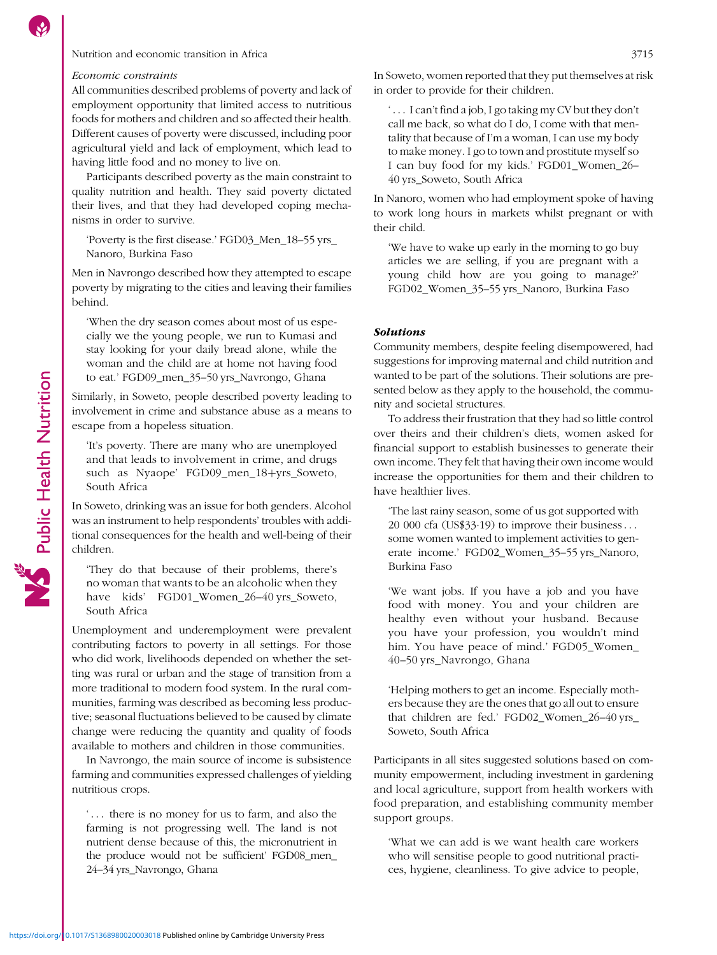### Nutrition and economic transition in Africa 3715

#### Economic constraints

All communities described problems of poverty and lack of employment opportunity that limited access to nutritious foods for mothers and children and so affected their health. Different causes of poverty were discussed, including poor agricultural yield and lack of employment, which lead to having little food and no money to live on.

Participants described poverty as the main constraint to quality nutrition and health. They said poverty dictated their lives, and that they had developed coping mechanisms in order to survive.

'Poverty is the first disease.' FGD03\_Men\_18–55 yrs\_ Nanoro, Burkina Faso

Men in Navrongo described how they attempted to escape poverty by migrating to the cities and leaving their families behind.

'When the dry season comes about most of us especially we the young people, we run to Kumasi and stay looking for your daily bread alone, while the woman and the child are at home not having food to eat.' FGD09\_men\_35–50 yrs\_Navrongo, Ghana

Similarly, in Soweto, people described poverty leading to involvement in crime and substance abuse as a means to escape from a hopeless situation.

'It's poverty. There are many who are unemployed and that leads to involvement in crime, and drugs such as Nyaope' FGD09\_men\_18+yrs\_Soweto, South Africa

In Soweto, drinking was an issue for both genders. Alcohol was an instrument to help respondents' troubles with additional consequences for the health and well-being of their children.

'They do that because of their problems, there's no woman that wants to be an alcoholic when they have kids' FGD01\_Women\_26–40 yrs\_Soweto, South Africa

Unemployment and underemployment were prevalent contributing factors to poverty in all settings. For those who did work, livelihoods depended on whether the setting was rural or urban and the stage of transition from a more traditional to modern food system. In the rural communities, farming was described as becoming less productive; seasonal fluctuations believed to be caused by climate change were reducing the quantity and quality of foods available to mothers and children in those communities.

In Navrongo, the main source of income is subsistence farming and communities expressed challenges of yielding nutritious crops.

... there is no money for us to farm, and also the farming is not progressing well. The land is not nutrient dense because of this, the micronutrient in the produce would not be sufficient' FGD08\_men\_ 24–34 yrs\_Navrongo, Ghana

In Soweto, women reported that they put themselves at risk in order to provide for their children.

 $\ldots$  I can't find a job, I go taking my CV but they don't call me back, so what do I do, I come with that mentality that because of I'm a woman, I can use my body to make money. I go to town and prostitute myself so I can buy food for my kids.' FGD01\_Women\_26– 40 yrs\_Soweto, South Africa

In Nanoro, women who had employment spoke of having to work long hours in markets whilst pregnant or with their child.

'We have to wake up early in the morning to go buy articles we are selling, if you are pregnant with a young child how are you going to manage?' FGD02\_Women\_35–55 yrs\_Nanoro, Burkina Faso

#### Solutions

Community members, despite feeling disempowered, had suggestions for improving maternal and child nutrition and wanted to be part of the solutions. Their solutions are presented below as they apply to the household, the community and societal structures.

To address their frustration that they had so little control over theirs and their children's diets, women asked for financial support to establish businesses to generate their own income. They felt that having their own income would increase the opportunities for them and their children to have healthier lives.

'The last rainy season, some of us got supported with 20 000 cfa (US\$33.19) to improve their business... some women wanted to implement activities to generate income.' FGD02\_Women\_35–55 yrs\_Nanoro, Burkina Faso

'We want jobs. If you have a job and you have food with money. You and your children are healthy even without your husband. Because you have your profession, you wouldn't mind him. You have peace of mind.' FGD05\_Women\_ 40–50 yrs\_Navrongo, Ghana

'Helping mothers to get an income. Especially mothers because they are the ones that go all out to ensure that children are fed.' FGD02\_Women\_26–40 yrs\_ Soweto, South Africa

Participants in all sites suggested solutions based on community empowerment, including investment in gardening and local agriculture, support from health workers with food preparation, and establishing community member support groups.

'What we can add is we want health care workers who will sensitise people to good nutritional practices, hygiene, cleanliness. To give advice to people,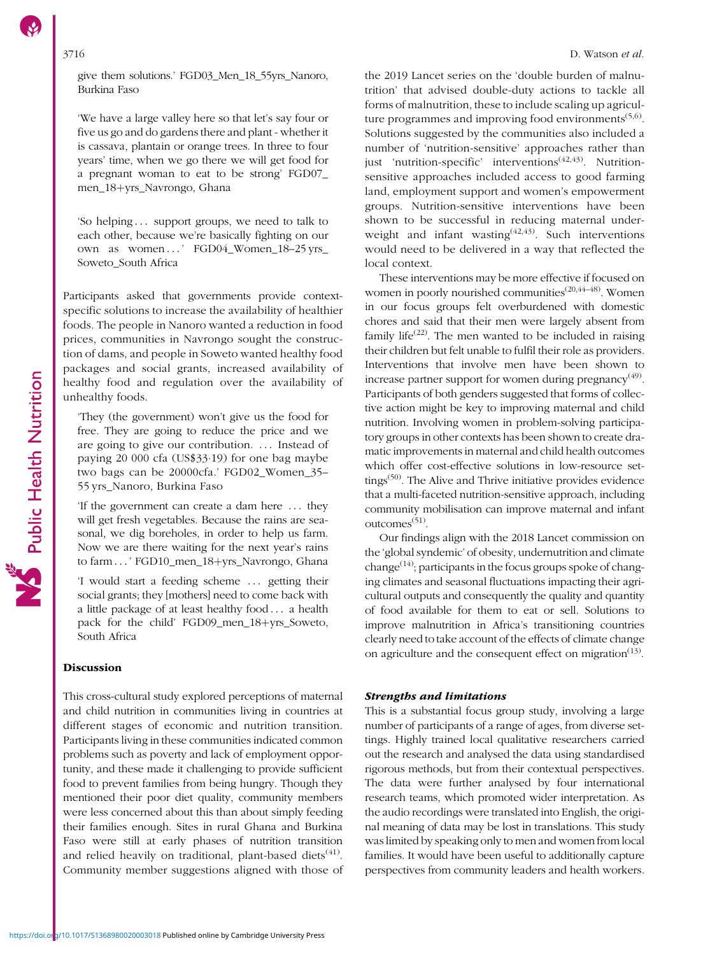give them solutions.' FGD03\_Men\_18\_55yrs\_Nanoro, Burkina Faso

'We have a large valley here so that let's say four or five us go and do gardens there and plant - whether it is cassava, plantain or orange trees. In three to four years' time, when we go there we will get food for a pregnant woman to eat to be strong' FGD07\_ men\_18+yrs\_Navrongo, Ghana

'So helping ::: support groups, we need to talk to each other, because we're basically fighting on our own as women...' FGD04\_Women\_18-25 yrs\_ Soweto\_South Africa

Participants asked that governments provide contextspecific solutions to increase the availability of healthier foods. The people in Nanoro wanted a reduction in food prices, communities in Navrongo sought the construction of dams, and people in Soweto wanted healthy food packages and social grants, increased availability of healthy food and regulation over the availability of unhealthy foods.

'They (the government) won't give us the food for free. They are going to reduce the price and we are going to give our contribution. ::: Instead of paying 20 000 cfa (US\$33·19) for one bag maybe two bags can be 20000cfa.' FGD02\_Women\_35– 55 yrs\_Nanoro, Burkina Faso

'If the government can create a dam here ::: they will get fresh vegetables. Because the rains are seasonal, we dig boreholes, in order to help us farm. Now we are there waiting for the next year's rains to farm ...' FGD10\_men\_18+yrs\_Navrongo, Ghana

'I would start a feeding scheme ... getting their social grants; they [mothers] need to come back with a little package of at least healthy food ... a health pack for the child' FGD09\_men\_18+yrs\_Soweto, South Africa

#### Discussion

This cross-cultural study explored perceptions of maternal and child nutrition in communities living in countries at different stages of economic and nutrition transition. Participants living in these communities indicated common problems such as poverty and lack of employment opportunity, and these made it challenging to provide sufficient food to prevent families from being hungry. Though they mentioned their poor diet quality, community members were less concerned about this than about simply feeding their families enough. Sites in rural Ghana and Burkina Faso were still at early phases of nutrition transition and relied heavily on traditional, plant-based diets<sup> $(41)$  $(41)$ </sup>. Community member suggestions aligned with those of the 2019 Lancet series on the 'double burden of malnutrition' that advised double-duty actions to tackle all forms of malnutrition, these to include scaling up agriculture programmes and improving food environments $(5,6)$  $(5,6)$ . Solutions suggested by the communities also included a number of 'nutrition-sensitive' approaches rather than just 'nutrition-specific' interventions<sup> $(42,43)$  $(42,43)$  $(42,43)$ </sup>. Nutritionsensitive approaches included access to good farming land, employment support and women's empowerment groups. Nutrition-sensitive interventions have been shown to be successful in reducing maternal underweight and infant wasting<sup> $(42,43)$  $(42,43)$ </sup>. Such interventions would need to be delivered in a way that reflected the local context.

These interventions may be more effective if focused on women in poorly nourished communities<sup>([20,44](#page-8-0)–[48\)](#page-8-0)</sup>. Women in our focus groups felt overburdened with domestic chores and said that their men were largely absent from family life<sup> $(22)$ </sup>. The men wanted to be included in raising their children but felt unable to fulfil their role as providers. Interventions that involve men have been shown to increase partner support for women during pregnancy $(49)$ . Participants of both genders suggested that forms of collective action might be key to improving maternal and child nutrition. Involving women in problem-solving participatory groups in other contexts has been shown to create dramatic improvements in maternal and child health outcomes which offer cost-effective solutions in low-resource settings $(50)$  $(50)$ . The Alive and Thrive initiative provides evidence that a multi-faceted nutrition-sensitive approach, including community mobilisation can improve maternal and infant outcomes<sup>([51](#page-8-0))</sup>.

Our findings align with the 2018 Lancet commission on the 'global syndemic' of obesity, undernutrition and climate change<sup> $(14)$  $(14)$  $(14)$ </sup>; participants in the focus groups spoke of changing climates and seasonal fluctuations impacting their agricultural outputs and consequently the quality and quantity of food available for them to eat or sell. Solutions to improve malnutrition in Africa's transitioning countries clearly need to take account of the effects of climate change on agriculture and the consequent effect on migration<sup> $(13)$  $(13)$  $(13)$ </sup>.

#### Strengths and limitations

This is a substantial focus group study, involving a large number of participants of a range of ages, from diverse settings. Highly trained local qualitative researchers carried out the research and analysed the data using standardised rigorous methods, but from their contextual perspectives. The data were further analysed by four international research teams, which promoted wider interpretation. As the audio recordings were translated into English, the original meaning of data may be lost in translations. This study was limited by speaking only to men and women from local families. It would have been useful to additionally capture perspectives from community leaders and health workers.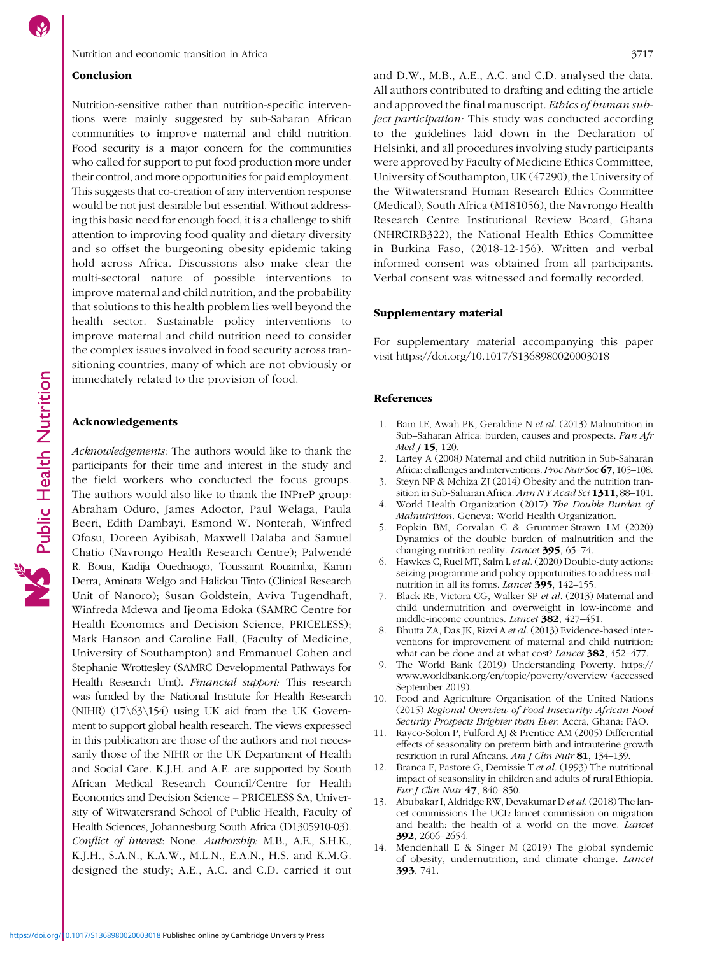Public Health Nutrition

#### <span id="page-7-0"></span>Conclusion

Nutrition-sensitive rather than nutrition-specific interventions were mainly suggested by sub-Saharan African communities to improve maternal and child nutrition. Food security is a major concern for the communities who called for support to put food production more under their control, and more opportunities for paid employment. This suggests that co-creation of any intervention response would be not just desirable but essential. Without addressing this basic need for enough food, it is a challenge to shift attention to improving food quality and dietary diversity and so offset the burgeoning obesity epidemic taking hold across Africa. Discussions also make clear the multi-sectoral nature of possible interventions to improve maternal and child nutrition, and the probability that solutions to this health problem lies well beyond the health sector. Sustainable policy interventions to improve maternal and child nutrition need to consider the complex issues involved in food security across transitioning countries, many of which are not obviously or immediately related to the provision of food.

#### Acknowledgements

Acknowledgements: The authors would like to thank the participants for their time and interest in the study and the field workers who conducted the focus groups. The authors would also like to thank the INPreP group: Abraham Oduro, James Adoctor, Paul Welaga, Paula Beeri, Edith Dambayi, Esmond W. Nonterah, Winfred Ofosu, Doreen Ayibisah, Maxwell Dalaba and Samuel Chatio (Navrongo Health Research Centre); Palwendé R. Boua, Kadija Ouedraogo, Toussaint Rouamba, Karim Derra, Aminata Welgo and Halidou Tinto (Clinical Research Unit of Nanoro); Susan Goldstein, Aviva Tugendhaft, Winfreda Mdewa and Ijeoma Edoka (SAMRC Centre for Health Economics and Decision Science, PRICELESS); Mark Hanson and Caroline Fall, (Faculty of Medicine, University of Southampton) and Emmanuel Cohen and Stephanie Wrottesley (SAMRC Developmental Pathways for Health Research Unit). Financial support: This research was funded by the National Institute for Health Research (NIHR)  $(17\sqrt{63}\sqrt{154})$  using UK aid from the UK Government to support global health research. The views expressed in this publication are those of the authors and not necessarily those of the NIHR or the UK Department of Health and Social Care. K.J.H. and A.E. are supported by South African Medical Research Council/Centre for Health Economics and Decision Science – PRICELESS SA, University of Witwatersrand School of Public Health, Faculty of Health Sciences, Johannesburg South Africa (D1305910-03). Conflict of interest: None. Authorship: M.B., A.E., S.H.K., K.J.H., S.A.N., K.A.W., M.L.N., E.A.N., H.S. and K.M.G. designed the study; A.E., A.C. and C.D. carried it out and D.W., M.B., A.E., A.C. and C.D. analysed the data. All authors contributed to drafting and editing the article and approved the final manuscript. Ethics of human subject participation: This study was conducted according to the guidelines laid down in the Declaration of Helsinki, and all procedures involving study participants were approved by Faculty of Medicine Ethics Committee, University of Southampton, UK (47290), the University of the Witwatersrand Human Research Ethics Committee (Medical), South Africa (M181056), the Navrongo Health Research Centre Institutional Review Board, Ghana (NHRCIRB322), the National Health Ethics Committee in Burkina Faso, (2018-12-156). Written and verbal informed consent was obtained from all participants. Verbal consent was witnessed and formally recorded.

#### Supplementary material

For supplementary material accompanying this paper visit<https://doi.org/10.1017/S1368980020003018>

#### References

- 1. Bain LE, Awah PK, Geraldine N et al. (2013) Malnutrition in Sub–Saharan Africa: burden, causes and prospects. Pan Afr  $Med J 15, 120.$
- 2. Lartey A (2008) Maternal and child nutrition in Sub-Saharan Africa: challenges and interventions. *Proc Nutr Soc* 67, 105–108.
- 3. Steyn NP & Mchiza ZJ (2014) Obesity and the nutrition transition in Sub-Saharan Africa. Ann NY Acad Sci 1311, 88-101.
- 4. World Health Organization (2017) The Double Burden of Malnutrition. Geneva: World Health Organization.
- 5. Popkin BM, Corvalan C & Grummer-Strawn LM (2020) Dynamics of the double burden of malnutrition and the changing nutrition reality. Lancet 395, 65–74.
- 6. Hawkes C, Ruel MT, Salm L et al. (2020) Double-duty actions: seizing programme and policy opportunities to address malnutrition in all its forms. *Lancet* 395, 142-155.
- 7. Black RE, Victora CG, Walker SP et al. (2013) Maternal and child undernutrition and overweight in low-income and middle-income countries. *Lancet* **382**, 427–451.
- 8. Bhutta ZA, Das JK, Rizvi A et al. (2013) Evidence-based interventions for improvement of maternal and child nutrition: what can be done and at what cost? Lancet 382, 452–477.
- 9. The World Bank (2019) Understanding Poverty. [https://](https://www.worldbank.org/en/topic/poverty/overview) [www.worldbank.org/en/topic/poverty/overview](https://www.worldbank.org/en/topic/poverty/overview) (accessed September 2019).
- 10. Food and Agriculture Organisation of the United Nations (2015) Regional Overview of Food Insecurity: African Food Security Prospects Brighter than Ever. Accra, Ghana: FAO.
- 11. Rayco-Solon P, Fulford AJ & Prentice AM (2005) Differential effects of seasonality on preterm birth and intrauterine growth restriction in rural Africans. Am J Clin Nutr 81, 134-139.
- 12. Branca F, Pastore G, Demissie T et al. (1993) The nutritional impact of seasonality in children and adults of rural Ethiopia. Eur J Clin Nutr 47, 840–850.
- 13. Abubakar I, Aldridge RW, Devakumar D et al.(2018) The lancet commissions The UCL: lancet commission on migration and health: the health of a world on the move. Lancet 392, 2606–2654.
- 14. Mendenhall E & Singer M (2019) The global syndemic of obesity, undernutrition, and climate change. Lancet 393, 741.